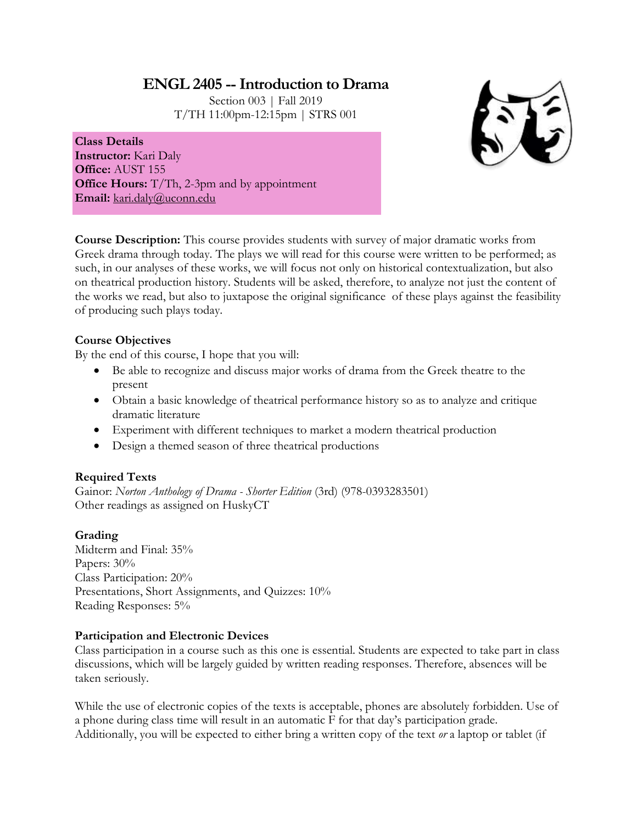# **ENGL 2405 --Introduction to Drama**

Section 003 | Fall 2019 T/TH 11:00pm-12:15pm | STRS 001



**Class Details Instructor:** Kari Daly **Office:** AUST 155 **Office Hours:** T/Th, 2-3pm and by appointment **Email:** [kari.daly@uconn.edu](mailto:kari.daly@uconn.edu)

**Course Description:** This course provides students with survey of major dramatic works from Greek drama through today. The plays we will read for this course were written to be performed; as such, in our analyses of these works, we will focus not only on historical contextualization, but also on theatrical production history. Students will be asked, therefore, to analyze not just the content of the works we read, but also to juxtapose the original significance of these plays against the feasibility of producing such plays today.

# **Course Objectives**

By the end of this course, I hope that you will:

- Be able to recognize and discuss major works of drama from the Greek theatre to the present
- Obtain a basic knowledge of theatrical performance history so as to analyze and critique dramatic literature
- Experiment with different techniques to market a modern theatrical production
- Design a themed season of three theatrical productions

### **Required Texts**

Gainor: *Norton Anthology of Drama - Shorter Edition* (3rd) (978-0393283501) Other readings as assigned on HuskyCT

### **Grading**

Midterm and Final: 35% Papers:  $30\%$ Class Participation: 20% Presentations, Short Assignments, and Quizzes: 10% Reading Responses: 5%

# **Participation and Electronic Devices**

Class participation in a course such as this one is essential. Students are expected to take part in class discussions, which will be largely guided by written reading responses. Therefore, absences will be taken seriously.

While the use of electronic copies of the texts is acceptable, phones are absolutely forbidden. Use of a phone during class time will result in an automatic F for that day's participation grade. Additionally, you will be expected to either bring a written copy of the text *or* a laptop or tablet (if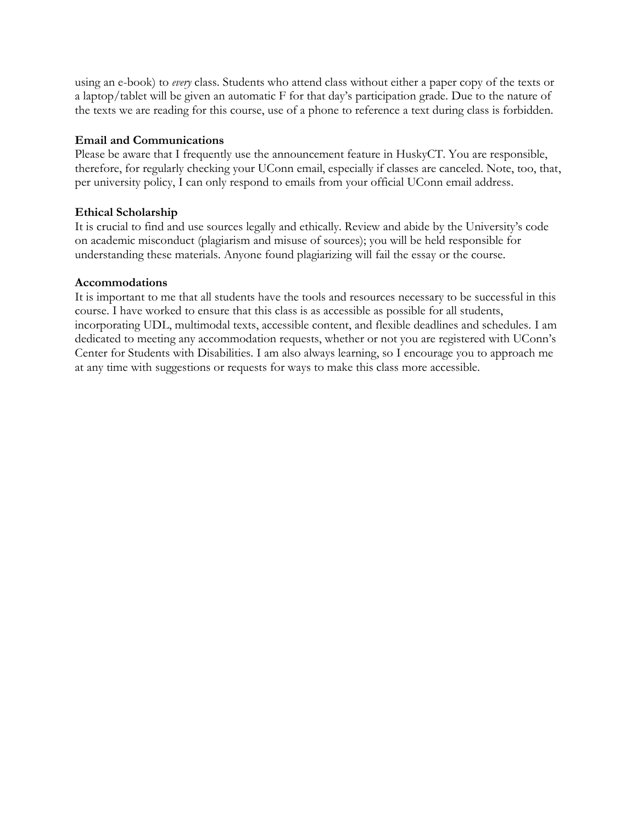using an e-book) to *every* class. Students who attend class without either a paper copy of the texts or a laptop/tablet will be given an automatic F for that day's participation grade. Due to the nature of the texts we are reading for this course, use of a phone to reference a text during class is forbidden.

### **Email and Communications**

Please be aware that I frequently use the announcement feature in HuskyCT. You are responsible, therefore, for regularly checking your UConn email, especially if classes are canceled. Note, too, that, per university policy, I can only respond to emails from your official UConn email address.

### **Ethical Scholarship**

It is crucial to find and use sources legally and ethically. Review and abide by the University's code on academic misconduct (plagiarism and misuse of sources); you will be held responsible for understanding these materials. Anyone found plagiarizing will fail the essay or the course.

### **Accommodations**

It is important to me that all students have the tools and resources necessary to be successful in this course. I have worked to ensure that this class is as accessible as possible for all students, incorporating UDL, multimodal texts, accessible content, and flexible deadlines and schedules. I am dedicated to meeting any accommodation requests, whether or not you are registered with UConn's Center for Students with Disabilities. I am also always learning, so I encourage you to approach me at any time with suggestions or requests for ways to make this class more accessible.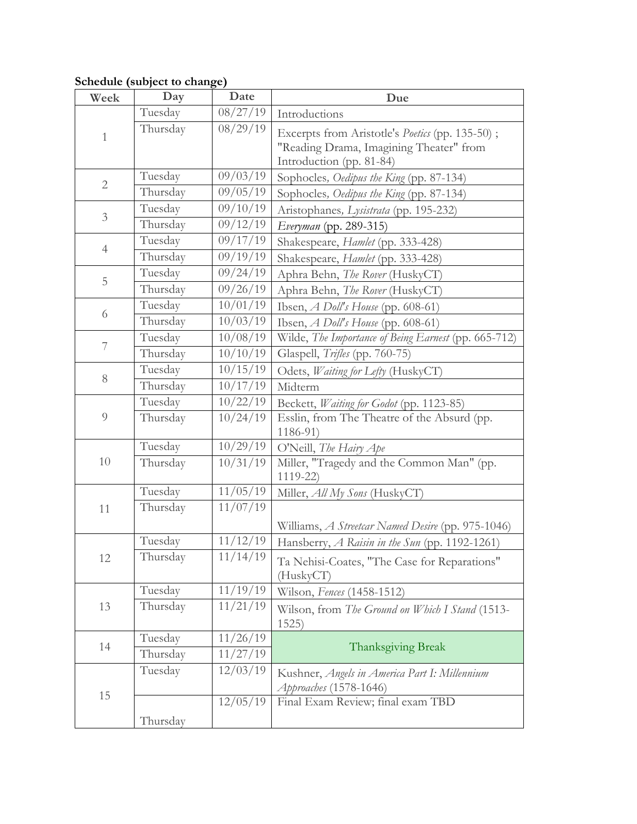# **Schedule (subject to change)**

| Week           | Day      | Date               | Due                                                                                                                           |
|----------------|----------|--------------------|-------------------------------------------------------------------------------------------------------------------------------|
| $\mathbf{1}$   | Tuesday  | 08/27/19           | Introductions                                                                                                                 |
|                | Thursday | 08/29/19           | Excerpts from Aristotle's <i>Poetics</i> (pp. 135-50);<br>"Reading Drama, Imagining Theater" from<br>Introduction (pp. 81-84) |
| $\mathbf{2}$   | Tuesday  | 09/03/19           | Sophocles, Oedipus the King (pp. 87-134)                                                                                      |
|                | Thursday | 09/05/19           | Sophocles, Oedipus the King (pp. 87-134)                                                                                      |
| $\mathfrak{Z}$ | Tuesday  | 09/10/19           | Aristophanes, Lysistrata (pp. 195-232)                                                                                        |
|                | Thursday | 09/12/19           | Everyman (pp. 289-315)                                                                                                        |
| $\overline{4}$ | Tuesday  | 09/17/19           | Shakespeare, Hamlet (pp. 333-428)                                                                                             |
|                | Thursday | 09/19/19           | Shakespeare, Hamlet (pp. 333-428)                                                                                             |
| $\mathbf 5$    | Tuesday  | 09/24/19           | Aphra Behn, The Rover (HuskyCT)                                                                                               |
|                | Thursday | 09/26/19           | Aphra Behn, <i>The Rover</i> (HuskyCT)                                                                                        |
| 6              | Tuesday  | 10/01/19           | Ibsen, $A$ Doll's House (pp. 608-61)                                                                                          |
|                | Thursday | 10/03/19           | Ibsen, A Doll's House (pp. 608-61)                                                                                            |
| 7              | Tuesday  | 10/08/19           | Wilde, The Importance of Being Earnest (pp. 665-712)                                                                          |
|                | Thursday | 10/10/19           | Glaspell, Trifles (pp. 760-75)                                                                                                |
| $8\,$          | Tuesday  | 10/15/19           | Odets, Waiting for Lefty (HuskyCT)                                                                                            |
|                | Thursday | 10/17/19           | Midterm                                                                                                                       |
| $\overline{9}$ | Tuesday  | 10/22/19           | Beckett, Waiting for Godot (pp. 1123-85)                                                                                      |
|                | Thursday | 10/24/19           | Esslin, from The Theatre of the Absurd (pp.<br>$1186 - 91$                                                                    |
| 10             | Tuesday  | 10/29/19           | O'Neill, The Hairy Ape                                                                                                        |
|                | Thursday | $\frac{10}{31}/19$ | Miller, "Tragedy and the Common Man" (pp.<br>$1119 - 22$                                                                      |
| 11             | Tuesday  | 11/05/19           | Miller, All My Sons (HuskyCT)                                                                                                 |
|                | Thursday | 11/07/19           |                                                                                                                               |
|                |          |                    | Williams, A Streetcar Named Desire (pp. 975-1046)                                                                             |
| 12             | Tuesday  | 11/12/19           | Hansberry, A Raisin in the Sun (pp. 1192-1261)                                                                                |
|                | Thursday | 11/14/19           | Ta Nehisi-Coates, "The Case for Reparations"<br>(HuskyCT)                                                                     |
| 13             | Tuesday  | 11/19/19           | Wilson, Fences (1458-1512)                                                                                                    |
|                | Thursday | 11/21/19           | Wilson, from The Ground on Which I Stand (1513-<br>1525)                                                                      |
| 14             | Tuesday  | 11/26/19           |                                                                                                                               |
|                | Thursday | 11/27/19           | Thanksgiving Break                                                                                                            |
| 15             | Tuesday  | 12/03/19           | Kushner, Angels in America Part I: Millennium<br>Approaches (1578-1646)                                                       |
|                |          | 12/05/19           | Final Exam Review; final exam TBD                                                                                             |
|                | Thursday |                    |                                                                                                                               |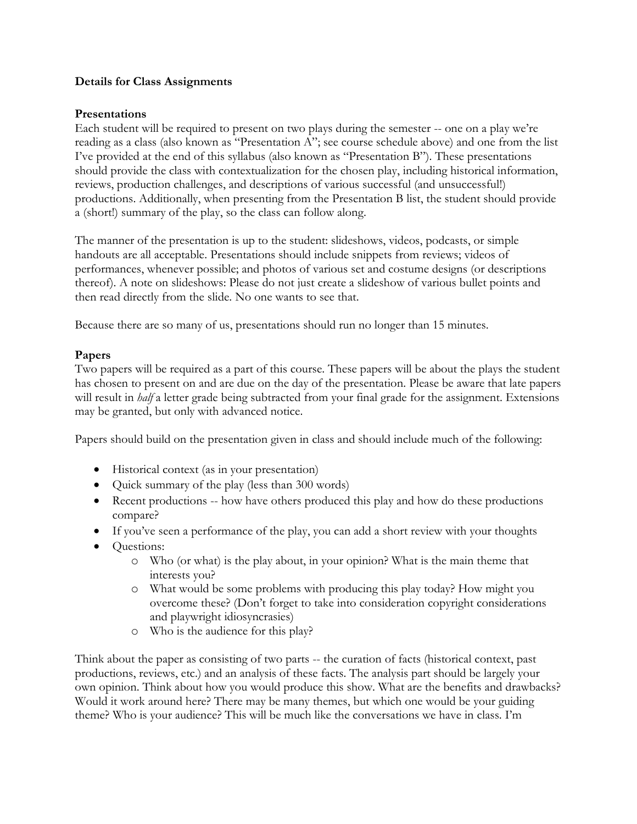### **Details for Class Assignments**

### **Presentations**

Each student will be required to present on two plays during the semester -- one on a play we're reading as a class (also known as "Presentation A"; see course schedule above) and one from the list I've provided at the end of this syllabus (also known as "Presentation B"). These presentations should provide the class with contextualization for the chosen play, including historical information, reviews, production challenges, and descriptions of various successful (and unsuccessful!) productions. Additionally, when presenting from the Presentation B list, the student should provide a (short!) summary of the play, so the class can follow along.

The manner of the presentation is up to the student: slideshows, videos, podcasts, or simple handouts are all acceptable. Presentations should include snippets from reviews; videos of performances, whenever possible; and photos of various set and costume designs (or descriptions thereof). A note on slideshows: Please do not just create a slideshow of various bullet points and then read directly from the slide. No one wants to see that.

Because there are so many of us, presentations should run no longer than 15 minutes.

# **Papers**

Two papers will be required as a part of this course. These papers will be about the plays the student has chosen to present on and are due on the day of the presentation. Please be aware that late papers will result in *half* a letter grade being subtracted from your final grade for the assignment. Extensions may be granted, but only with advanced notice.

Papers should build on the presentation given in class and should include much of the following:

- Historical context (as in your presentation)
- Quick summary of the play (less than 300 words)
- Recent productions -- how have others produced this play and how do these productions compare?
- If you've seen a performance of the play, you can add a short review with your thoughts
- Questions:
	- o Who (or what) is the play about, in your opinion? What is the main theme that interests you?
	- o What would be some problems with producing this play today? How might you overcome these? (Don't forget to take into consideration copyright considerations and playwright idiosyncrasies)
	- o Who is the audience for this play?

Think about the paper as consisting of two parts -- the curation of facts (historical context, past productions, reviews, etc.) and an analysis of these facts. The analysis part should be largely your own opinion. Think about how you would produce this show. What are the benefits and drawbacks? Would it work around here? There may be many themes, but which one would be your guiding theme? Who is your audience? This will be much like the conversations we have in class. I'm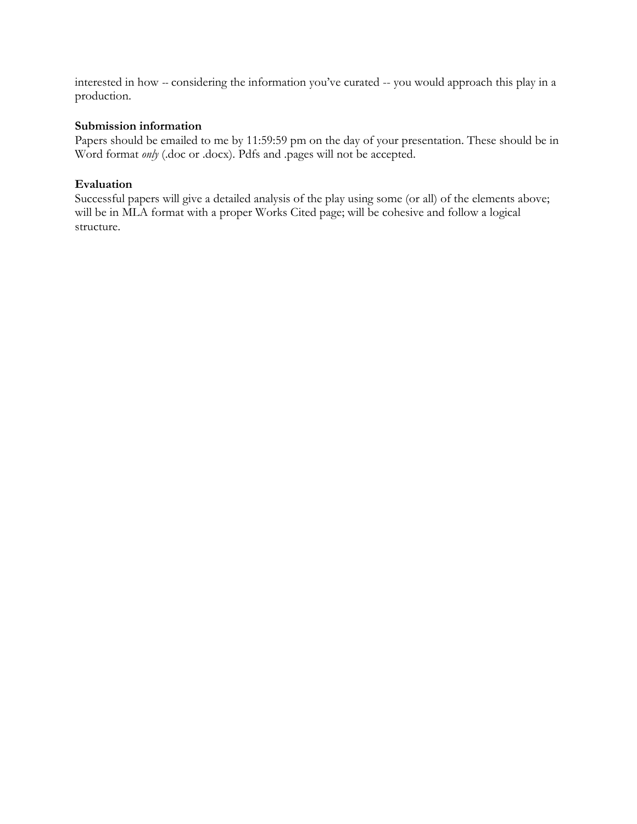interested in how *--* considering the information you've curated -- you would approach this play in a production.

### **Submission information**

Papers should be emailed to me by 11:59:59 pm on the day of your presentation. These should be in Word format *only* (.doc or .docx). Pdfs and .pages will not be accepted.

### **Evaluation**

Successful papers will give a detailed analysis of the play using some (or all) of the elements above; will be in MLA format with a proper Works Cited page; will be cohesive and follow a logical structure.